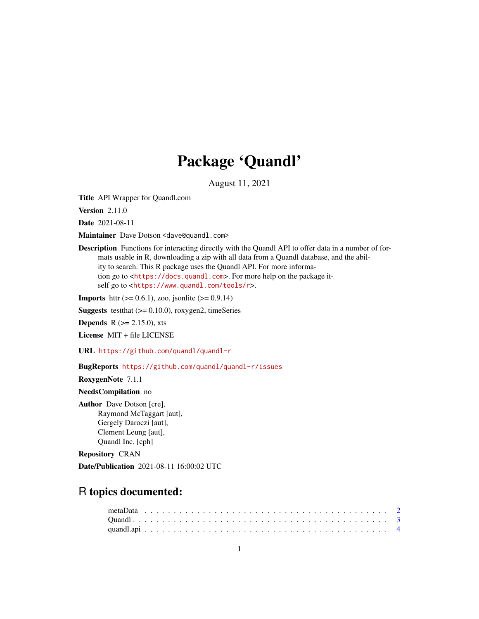# Package 'Quandl'

August 11, 2021

Title API Wrapper for Quandl.com

**Version 2.11.0** 

Date 2021-08-11

Maintainer Dave Dotson <dave@quandl.com>

Description Functions for interacting directly with the Quandl API to offer data in a number of formats usable in R, downloading a zip with all data from a Quandl database, and the ability to search. This R package uses the Quandl API. For more information go to <<https://docs.quandl.com>>. For more help on the package itself go to <<https://www.quandl.com/tools/r>>.

**Imports** httr ( $> = 0.6.1$ ), zoo, jsonlite ( $> = 0.9.14$ )

**Suggests** testthat  $(>= 0.10.0)$ , roxygen2, timeSeries

**Depends** R ( $>= 2.15.0$ ), xts

License MIT + file LICENSE

URL <https://github.com/quandl/quandl-r>

BugReports <https://github.com/quandl/quandl-r/issues>

RoxygenNote 7.1.1

NeedsCompilation no

Author Dave Dotson [cre], Raymond McTaggart [aut], Gergely Daroczi [aut], Clement Leung [aut], Quandl Inc. [cph]

Repository CRAN

Date/Publication 2021-08-11 16:00:02 UTC

# R topics documented: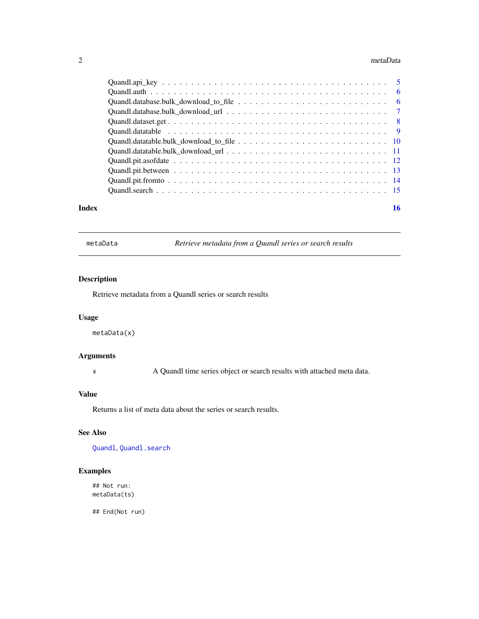#### <span id="page-1-0"></span>2 metaData

| 16 |
|----|
|    |

metaData *Retrieve metadata from a Quandl series or search results*

# Description

Retrieve metadata from a Quandl series or search results

# Usage

metaData(x)

# Arguments

x A Quandl time series object or search results with attached meta data.

#### Value

Returns a list of meta data about the series or search results.

# See Also

[Quandl](#page-2-1), [Quandl.search](#page-14-1)

# Examples

## Not run: metaData(ts)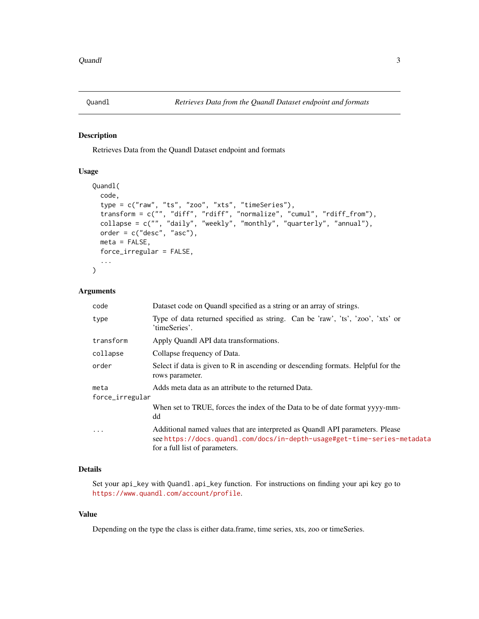<span id="page-2-1"></span><span id="page-2-0"></span>

Retrieves Data from the Quandl Dataset endpoint and formats

#### Usage

```
Quandl(
  code,
  type = c("raw", "ts", "zoo", "xts", "timeSeries"),
  transform = c("", "diff", "rdiff", "normalize", "cumul", "rdiff_from"),
  collapse = c("", "daily", "weekly", "monthly", "quarterly", "annual"),
 order = c("desc", "asc"),meta = FALSE,
  force_irregular = FALSE,
  ...
\mathcal{L}
```
#### Arguments

| code                    | Dataset code on Quandl specified as a string or an array of strings.                                                                                                                        |
|-------------------------|---------------------------------------------------------------------------------------------------------------------------------------------------------------------------------------------|
| type                    | Type of data returned specified as string. Can be 'raw', 'ts', 'zoo', 'xts' or<br>'timeSeries'.                                                                                             |
| transform               | Apply Quandl API data transformations.                                                                                                                                                      |
| collapse                | Collapse frequency of Data.                                                                                                                                                                 |
| order                   | Select if data is given to R in ascending or descending formats. Helpful for the<br>rows parameter.                                                                                         |
| meta<br>force_irregular | Adds meta data as an attribute to the returned Data.                                                                                                                                        |
|                         | When set to TRUE, forces the index of the Data to be of date format yyyy-mm-<br>dd                                                                                                          |
| $\ddotsc$               | Additional named values that are interpreted as Quandl API parameters. Please<br>see https://docs.quandl.com/docs/in-depth-usage#get-time-series-metadata<br>for a full list of parameters. |

# Details

Set your api\_key with Quandl.api\_key function. For instructions on finding your api key go to <https://www.quandl.com/account/profile>.

# Value

Depending on the type the class is either data.frame, time series, xts, zoo or timeSeries.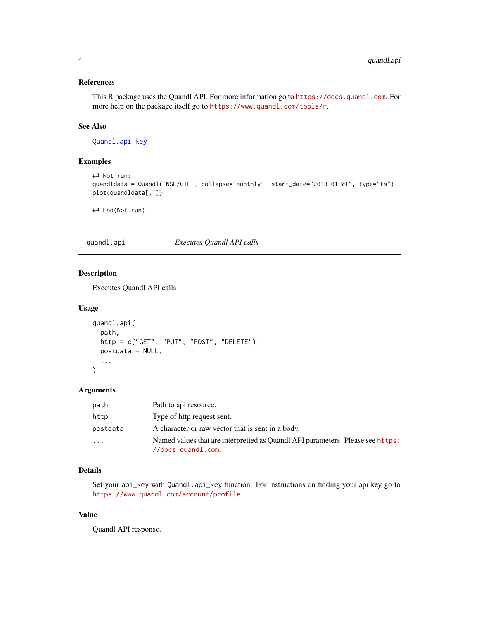# <span id="page-3-0"></span>References

This R package uses the Quandl API. For more information go to <https://docs.quandl.com>. For more help on the package itself go to <https://www.quandl.com/tools/r>.

# See Also

[Quandl.api\\_key](#page-4-1)

# Examples

```
## Not run:
quandldata = Quandl("NSE/OIL", collapse="monthly", start_date="2013-01-01", type="ts")
plot(quandldata[,1])
```
## End(Not run)

#### quandl.api *Executes Quandl API calls*

# Description

Executes Quandl API calls

#### Usage

```
quandl.api(
  path,
  http = c("GET", "PUT", "POST", "DELETE"),
  postdata = NULL,
  ...
\mathcal{L}
```
#### Arguments

| path     | Path to api resource.                                                                                                     |
|----------|---------------------------------------------------------------------------------------------------------------------------|
| http     | Type of http request sent.                                                                                                |
| postdata | A character or raw vector that is sent in a body.                                                                         |
| .        | Named values that are interpretted as Quandl API parameters. Please see https:<br>$\frac{1}{\sqrt{6}}$ //docs.quandl.com. |

# Details

Set your api\_key with Quandl.api\_key function. For instructions on finding your api key go to <https://www.quandl.com/account/profile>

# Value

Quandl API response.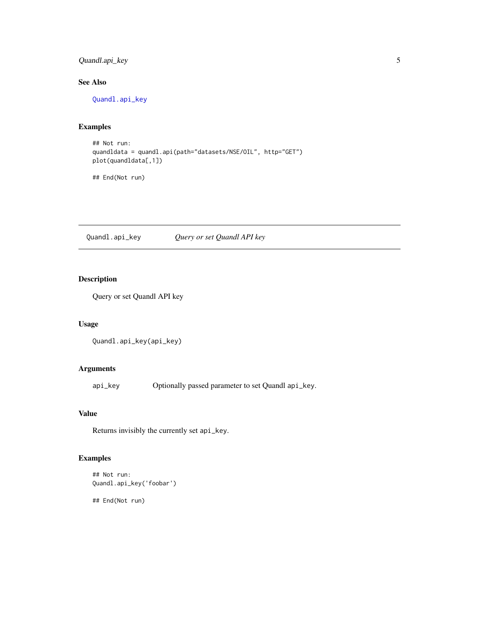# <span id="page-4-0"></span>Quandl.api\_key 5

# See Also

[Quandl.api\\_key](#page-4-1)

# Examples

```
## Not run:
quandldata = quandl.api(path="datasets/NSE/OIL", http="GET")
plot(quandldata[,1])
```
## End(Not run)

<span id="page-4-1"></span>Quandl.api\_key *Query or set Quandl API key*

# Description

Query or set Quandl API key

#### Usage

```
Quandl.api_key(api_key)
```
# Arguments

api\_key Optionally passed parameter to set Quandl api\_key.

# Value

Returns invisibly the currently set api\_key.

# Examples

```
## Not run:
Quandl.api_key('foobar')
```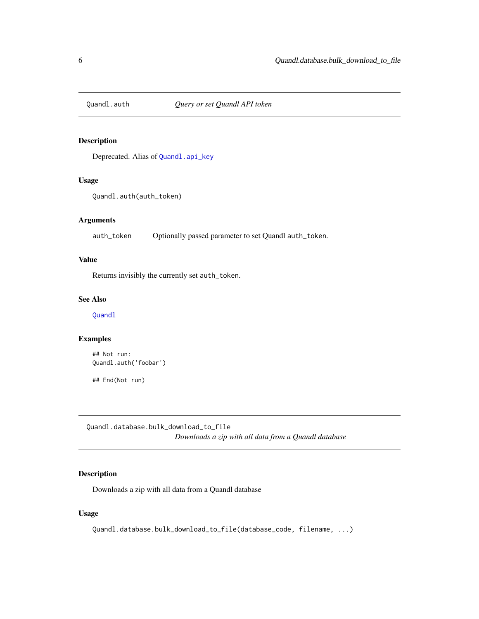<span id="page-5-0"></span>

Deprecated. Alias of [Quandl.api\\_key](#page-4-1)

# Usage

Quandl.auth(auth\_token)

#### Arguments

auth\_token Optionally passed parameter to set Quandl auth\_token.

# Value

Returns invisibly the currently set auth\_token.

#### See Also

[Quandl](#page-2-1)

# Examples

```
## Not run:
Quandl.auth('foobar')
```
## End(Not run)

Quandl.database.bulk\_download\_to\_file *Downloads a zip with all data from a Quandl database*

## Description

Downloads a zip with all data from a Quandl database

# Usage

Quandl.database.bulk\_download\_to\_file(database\_code, filename, ...)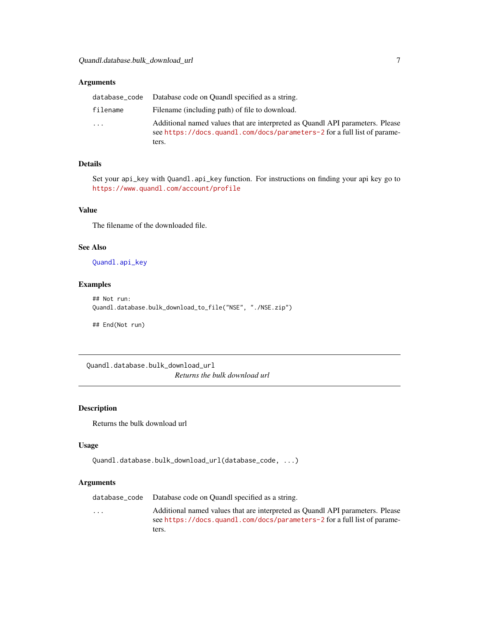#### <span id="page-6-0"></span>Arguments

|          | database_code Database code on Quandl specified as a string.                                                                                                       |
|----------|--------------------------------------------------------------------------------------------------------------------------------------------------------------------|
| filename | Filename (including path) of file to download.                                                                                                                     |
| .        | Additional named values that are interpreted as Quandl API parameters. Please<br>see https://docs.quandl.com/docs/parameters-2 for a full list of parame-<br>ters. |

# Details

Set your api\_key with Quandl.api\_key function. For instructions on finding your api key go to <https://www.quandl.com/account/profile>

#### Value

The filename of the downloaded file.

#### See Also

[Quandl.api\\_key](#page-4-1)

### Examples

```
## Not run:
Quandl.database.bulk_download_to_file("NSE", "./NSE.zip")
```
## End(Not run)

Quandl.database.bulk\_download\_url *Returns the bulk download url*

# Description

Returns the bulk download url

#### Usage

```
Quandl.database.bulk_download_url(database_code, ...)
```
#### Arguments

|                         | database_code Database code on Quandl specified as a string.                                                                                              |
|-------------------------|-----------------------------------------------------------------------------------------------------------------------------------------------------------|
| $\cdot$ $\cdot$ $\cdot$ | Additional named values that are interpreted as Quandl API parameters. Please<br>see https://docs.quandl.com/docs/parameters-2 for a full list of parame- |
|                         | ters.                                                                                                                                                     |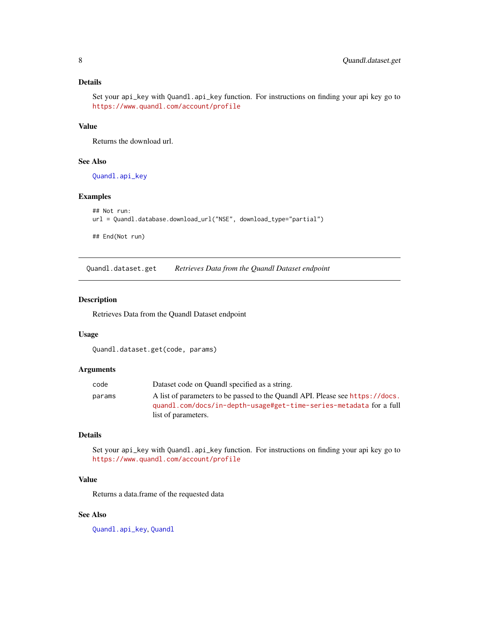#### <span id="page-7-0"></span>Details

Set your api\_key with Quandl.api\_key function. For instructions on finding your api key go to <https://www.quandl.com/account/profile>

#### Value

Returns the download url.

#### See Also

[Quandl.api\\_key](#page-4-1)

# Examples

```
## Not run:
url = Quandl.database.download_url("NSE", download_type="partial")
## End(Not run)
```
Quandl.dataset.get *Retrieves Data from the Quandl Dataset endpoint*

#### Description

Retrieves Data from the Quandl Dataset endpoint

#### Usage

Quandl.dataset.get(code, params)

#### Arguments

| code   | Dataset code on Quandl specified as a string.                                 |
|--------|-------------------------------------------------------------------------------|
| params | A list of parameters to be passed to the Quandl API. Please see https://docs. |
|        | quandl.com/docs/in-depth-usage#get-time-series-metadata for a full            |
|        | list of parameters.                                                           |

#### Details

Set your api\_key with Quandl.api\_key function. For instructions on finding your api key go to <https://www.quandl.com/account/profile>

# Value

Returns a data.frame of the requested data

# See Also

[Quandl.api\\_key](#page-4-1), [Quandl](#page-2-1)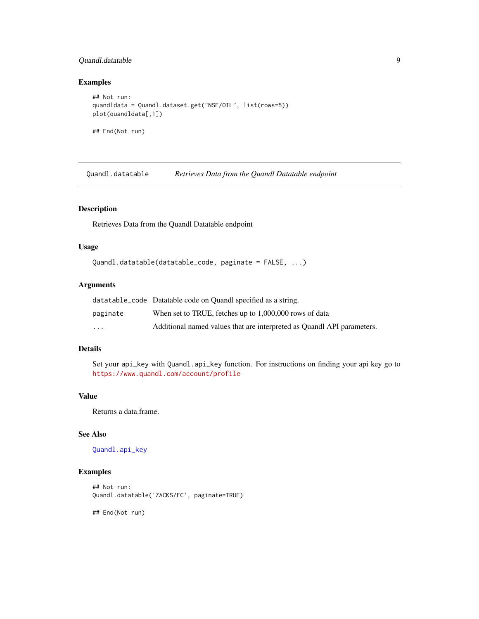# <span id="page-8-0"></span>Quandl.datatable 9

#### Examples

```
## Not run:
quandldata = Quandl.dataset.get("NSE/OIL", list(rows=5))
plot(quandldata[,1])
## End(Not run)
```
Quandl.datatable *Retrieves Data from the Quandl Datatable endpoint*

# Description

Retrieves Data from the Quandl Datatable endpoint

#### Usage

```
Quandl.datatable(datatable_code, paginate = FALSE, ...)
```
# Arguments

|                         | datatable_code Datatable code on Quandl specified as a string.         |
|-------------------------|------------------------------------------------------------------------|
| paginate                | When set to TRUE, fetches up to 1,000,000 rows of data                 |
| $\cdot$ $\cdot$ $\cdot$ | Additional named values that are interpreted as Quandl API parameters. |

# Details

Set your api\_key with Quandl.api\_key function. For instructions on finding your api key go to <https://www.quandl.com/account/profile>

# Value

Returns a data.frame.

# See Also

[Quandl.api\\_key](#page-4-1)

#### Examples

```
## Not run:
Quandl.datatable('ZACKS/FC', paginate=TRUE)
```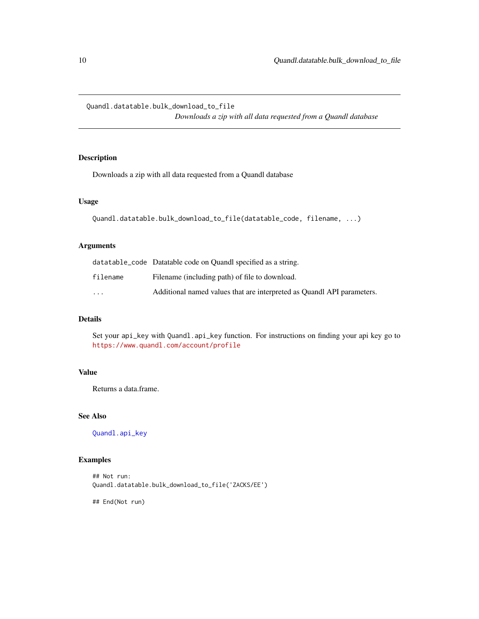<span id="page-9-0"></span>Quandl.datatable.bulk\_download\_to\_file *Downloads a zip with all data requested from a Quandl database*

# Description

Downloads a zip with all data requested from a Quandl database

#### Usage

```
Quandl.datatable.bulk_download_to_file(datatable_code, filename, ...)
```
# Arguments

|                         | datatable_code Datatable code on Quandl specified as a string.         |
|-------------------------|------------------------------------------------------------------------|
| filename                | Filename (including path) of file to download.                         |
| $\cdot$ $\cdot$ $\cdot$ | Additional named values that are interpreted as Quandl API parameters. |

# Details

Set your api\_key with Quandl.api\_key function. For instructions on finding your api key go to <https://www.quandl.com/account/profile>

# Value

Returns a data.frame.

#### See Also

[Quandl.api\\_key](#page-4-1)

# Examples

## Not run: Quandl.datatable.bulk\_download\_to\_file('ZACKS/EE')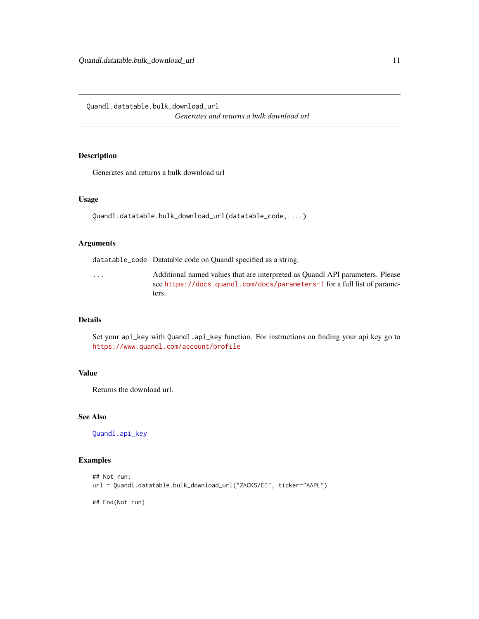<span id="page-10-0"></span>Quandl.datatable.bulk\_download\_url *Generates and returns a bulk download url*

#### Description

Generates and returns a bulk download url

#### Usage

```
Quandl.datatable.bulk_download_url(datatable_code, ...)
```
#### Arguments

datatable\_code Datatable code on Quandl specified as a string.

... Additional named values that are interpreted as Quandl API parameters. Please see <https://docs.quandl.com/docs/parameters-1> for a full list of parameters.

# Details

Set your api\_key with Quandl.api\_key function. For instructions on finding your api key go to <https://www.quandl.com/account/profile>

#### Value

Returns the download url.

#### See Also

[Quandl.api\\_key](#page-4-1)

# Examples

```
## Not run:
url = Quandl.datatable.bulk_download_url("ZACKS/EE", ticker="AAPL")
```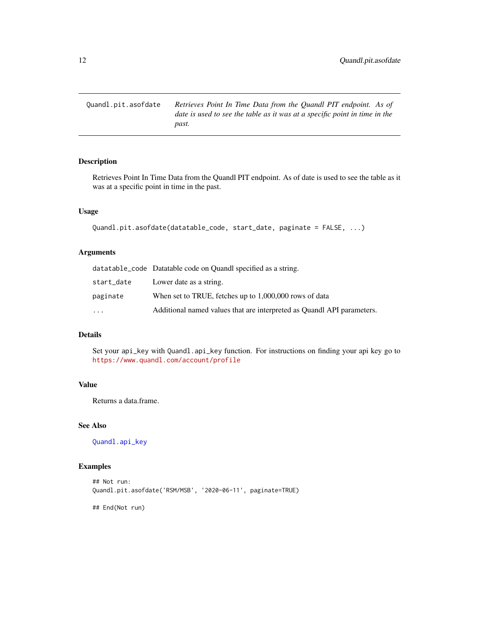<span id="page-11-0"></span>Quandl.pit.asofdate *Retrieves Point In Time Data from the Quandl PIT endpoint. As of date is used to see the table as it was at a specific point in time in the past.*

# Description

Retrieves Point In Time Data from the Quandl PIT endpoint. As of date is used to see the table as it was at a specific point in time in the past.

# Usage

```
Quandl.pit.asofdate(datatable_code, start_date, paginate = FALSE, ...)
```
#### Arguments

|            | datatable_code Datatable code on Quandl specified as a string.         |
|------------|------------------------------------------------------------------------|
| start_date | Lower date as a string.                                                |
| paginate   | When set to TRUE, fetches up to 1,000,000 rows of data                 |
| .          | Additional named values that are interpreted as Quandl API parameters. |

#### Details

Set your api\_key with Quandl.api\_key function. For instructions on finding your api key go to <https://www.quandl.com/account/profile>

# Value

Returns a data.frame.

#### See Also

[Quandl.api\\_key](#page-4-1)

#### Examples

```
## Not run:
Quandl.pit.asofdate('RSM/MSB', '2020-06-11', paginate=TRUE)
## End(Not run)
```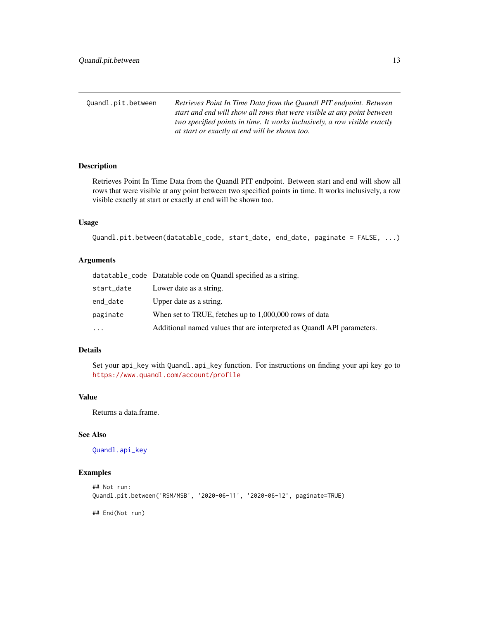<span id="page-12-0"></span>

| Ouandl.pit.between | Retrieves Point In Time Data from the Quandl PIT endpoint. Between        |
|--------------------|---------------------------------------------------------------------------|
|                    | start and end will show all rows that were visible at any point between   |
|                    | two specified points in time. It works inclusively, a row visible exactly |
|                    | at start or exactly at end will be shown too.                             |

Retrieves Point In Time Data from the Quandl PIT endpoint. Between start and end will show all rows that were visible at any point between two specified points in time. It works inclusively, a row visible exactly at start or exactly at end will be shown too.

#### Usage

```
Quandl.pit.between(datatable_code, start_date, end_date, paginate = FALSE, ...)
```
#### Arguments

|            | datatable_code Datatable code on Quandl specified as a string.         |
|------------|------------------------------------------------------------------------|
| start_date | Lower date as a string.                                                |
| end_date   | Upper date as a string.                                                |
| paginate   | When set to TRUE, fetches up to 1,000,000 rows of data                 |
| $\cdots$   | Additional named values that are interpreted as Quandl API parameters. |

# Details

Set your api\_key with Quandl.api\_key function. For instructions on finding your api key go to <https://www.quandl.com/account/profile>

# Value

Returns a data.frame.

# See Also

[Quandl.api\\_key](#page-4-1)

#### Examples

```
## Not run:
Quandl.pit.between('RSM/MSB', '2020-06-11', '2020-06-12', paginate=TRUE)
## End(Not run)
```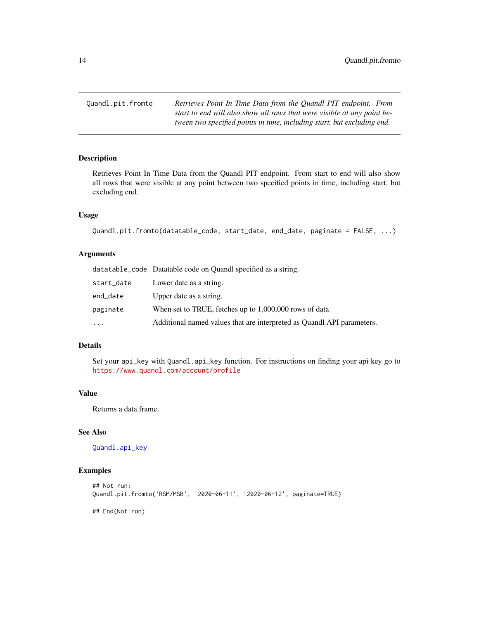<span id="page-13-0"></span>Quandl.pit.fromto *Retrieves Point In Time Data from the Quandl PIT endpoint. From start to end will also show all rows that were visible at any point between two specified points in time, including start, but excluding end.*

#### Description

Retrieves Point In Time Data from the Quandl PIT endpoint. From start to end will also show all rows that were visible at any point between two specified points in time, including start, but excluding end.

#### Usage

```
Quandl.pit.fromto(datatable_code, start_date, end_date, paginate = FALSE, ...)
```
# Arguments

|            | datatable_code Datatable code on Quandl specified as a string.         |
|------------|------------------------------------------------------------------------|
| start_date | Lower date as a string.                                                |
| end_date   | Upper date as a string.                                                |
| paginate   | When set to TRUE, fetches up to 1,000,000 rows of data                 |
| $\cdots$   | Additional named values that are interpreted as Quandl API parameters. |

#### Details

Set your api\_key with Quandl.api\_key function. For instructions on finding your api key go to <https://www.quandl.com/account/profile>

#### Value

Returns a data.frame.

# See Also

[Quandl.api\\_key](#page-4-1)

#### Examples

```
## Not run:
Quandl.pit.fromto('RSM/MSB', '2020-06-11', '2020-06-12', paginate=TRUE)
## End(Not run)
```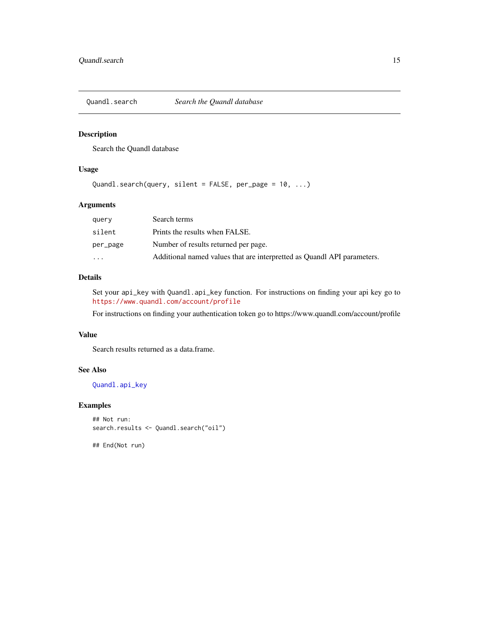<span id="page-14-1"></span><span id="page-14-0"></span>

Search the Quandl database

# Usage

```
Quandl.search(query, silent = FALSE, per_page = 10, ...)
```
# Arguments

| query    | Search terms                                                            |
|----------|-------------------------------------------------------------------------|
| silent   | Prints the results when FALSE.                                          |
| per_page | Number of results returned per page.                                    |
| $\cdot$  | Additional named values that are interpretted as Quandl API parameters. |

# Details

Set your api\_key with Quandl.api\_key function. For instructions on finding your api key go to <https://www.quandl.com/account/profile>

For instructions on finding your authentication token go to https://www.quandl.com/account/profile

#### Value

Search results returned as a data.frame.

# See Also

[Quandl.api\\_key](#page-4-1)

### Examples

```
## Not run:
search.results <- Quandl.search("oil")
```